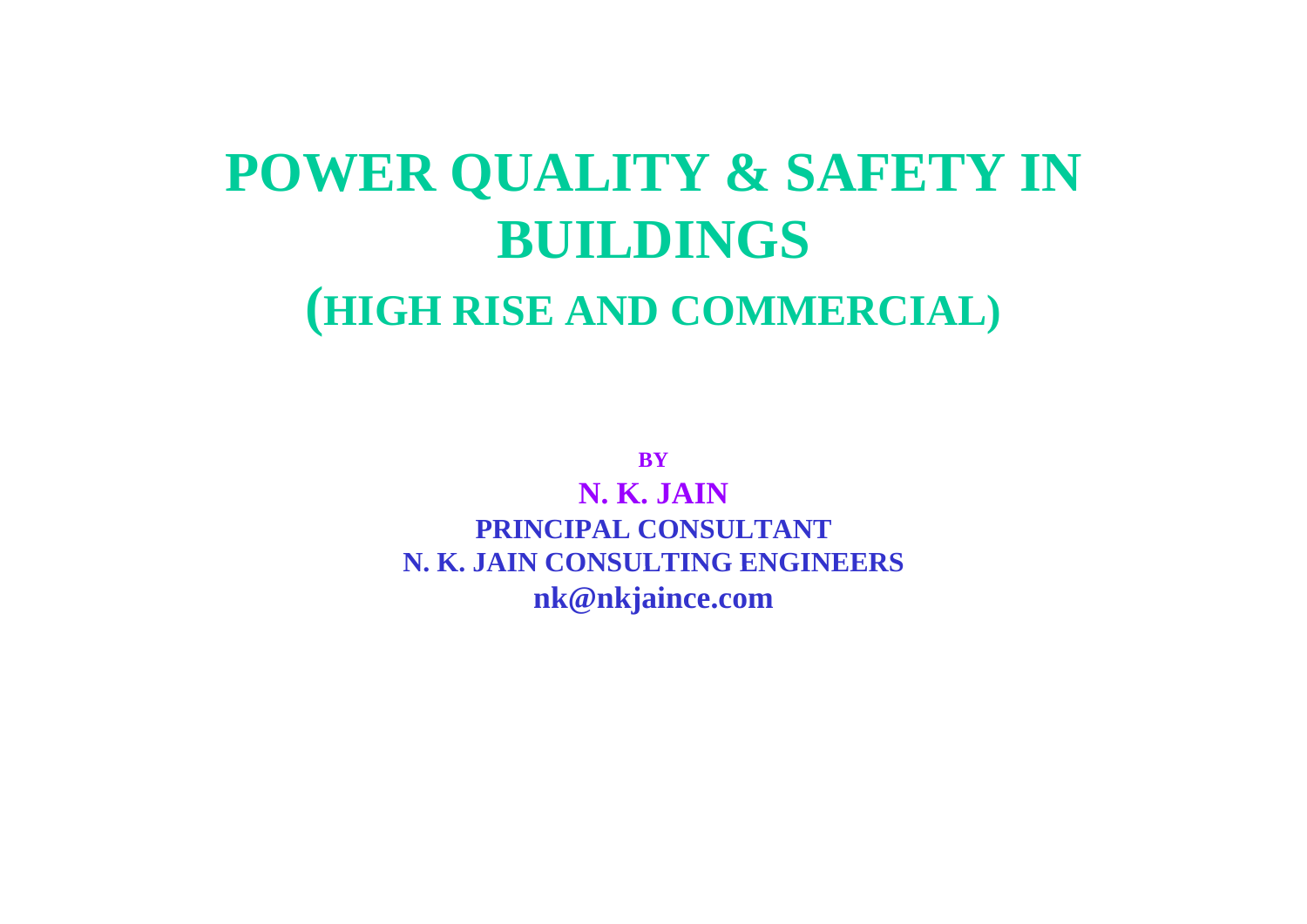# **POWER QUALITY & SAFETY IN BUILDINGS (HIGH RISE AND COMMERCIAL)**

**BY**

**N. K. JAINPRINCIPAL CONSULTANT N K JAIN CONSULTING ENGINEERS N. K. nk@nkjaince.com**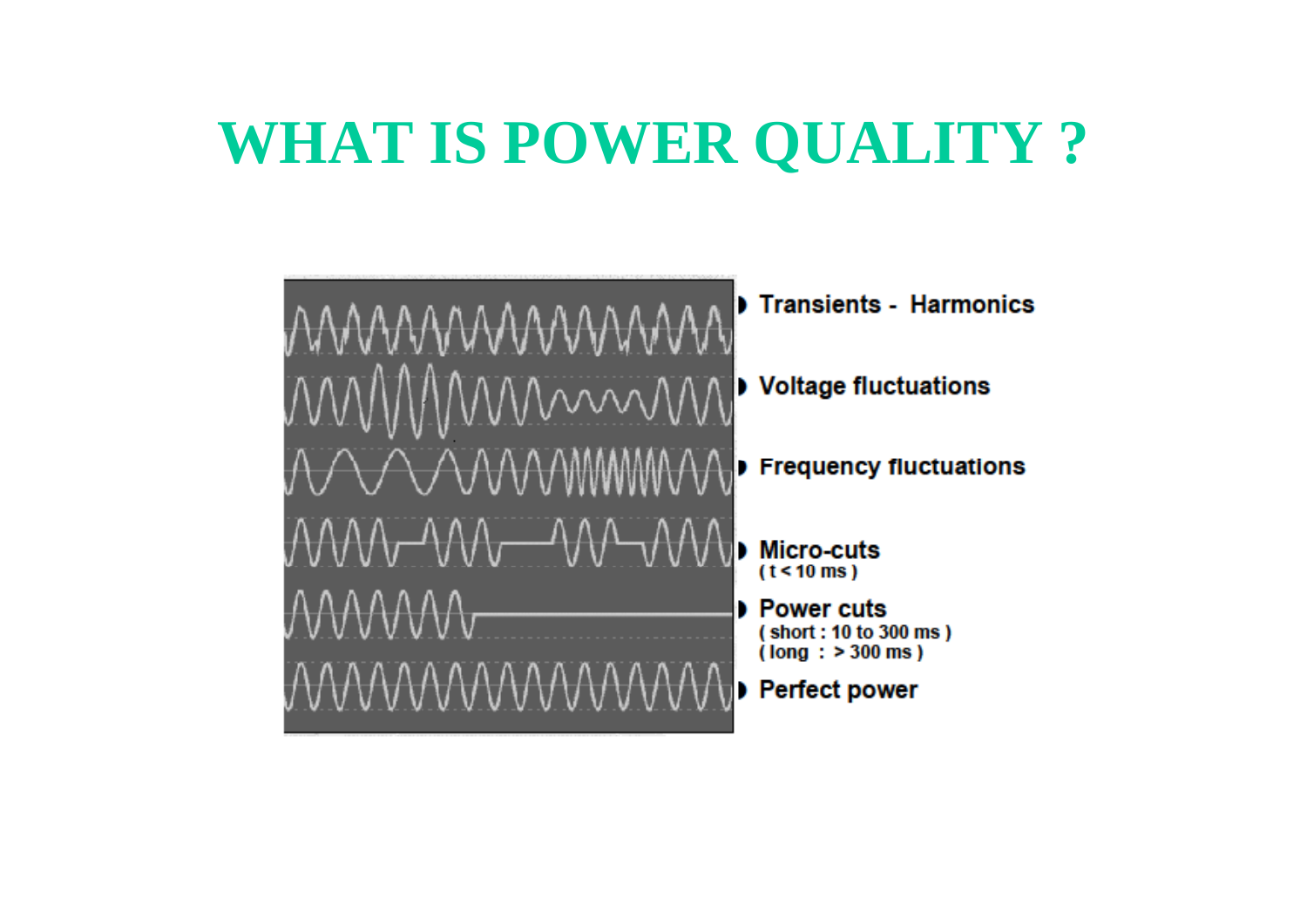# **WHAT IS POWER QUALITY ?**

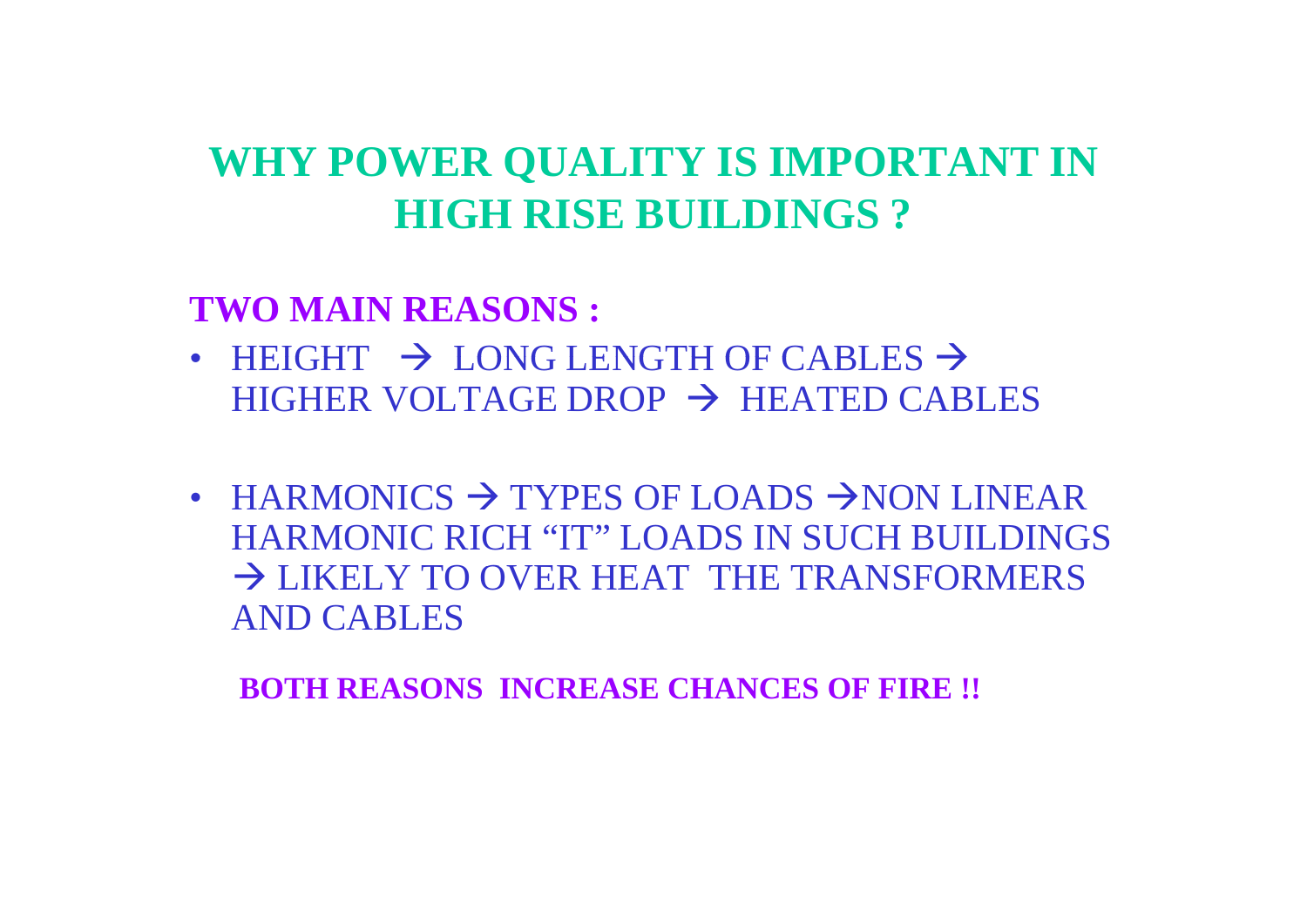## **WHY POWER QUALITY IS IMPORTANT IN HIGH RISE BUILDINGS ?**

**TWO MAIN REASONS :** 

- HEIGHT  $\rightarrow$  LONG LENGTH OF CABLES  $\rightarrow$  $H$ IGHER VOLTAGE DROP  $\rightarrow$  HEATED CABLES
- HARMONICS  $\rightarrow$  TYPES OF LOADS  $\rightarrow$  NON LINEAR HARMONIC RICH "IT" LOADS IN SUCH BUILDINGS LIKELY TO OVER HEAT THE TRANSFORMERS AND CABLES

**BOTH REASONS INCREASE CHANCES OF FIRE !!**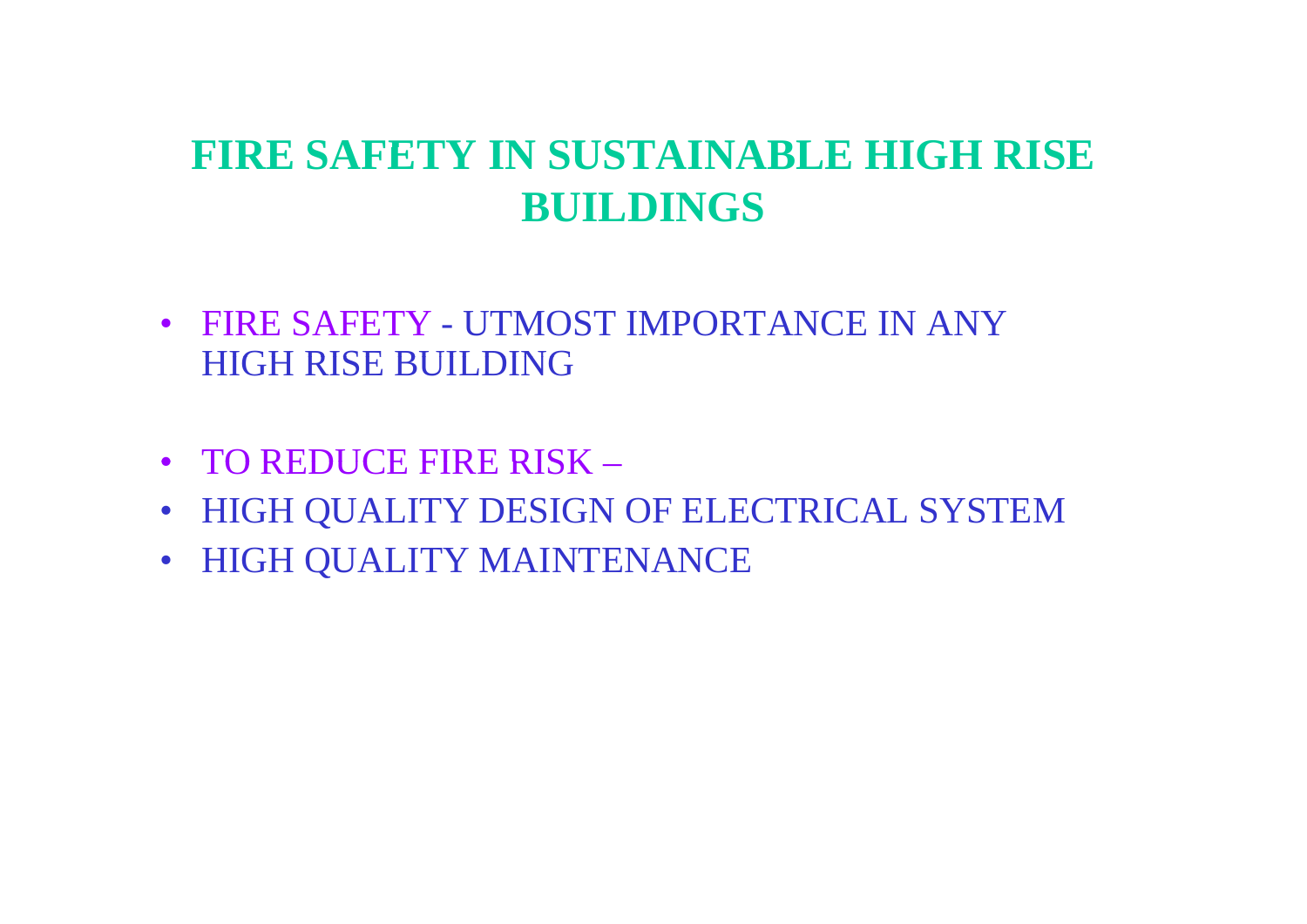## **FIRE SAFETY IN SUSTAINABLE HIGH RISE SUSTAINABLE BUILDINGS**

- FIRE SAFETY UTMOST IMPORTANCE IN ANY HIGH RISE BUILDING
- TO REDUCE FIRE RISK –
- HIGH QUALITY DESIGN OF ELECTRICAL SYSTEM
- HIGH QUALITY MAINTENANCE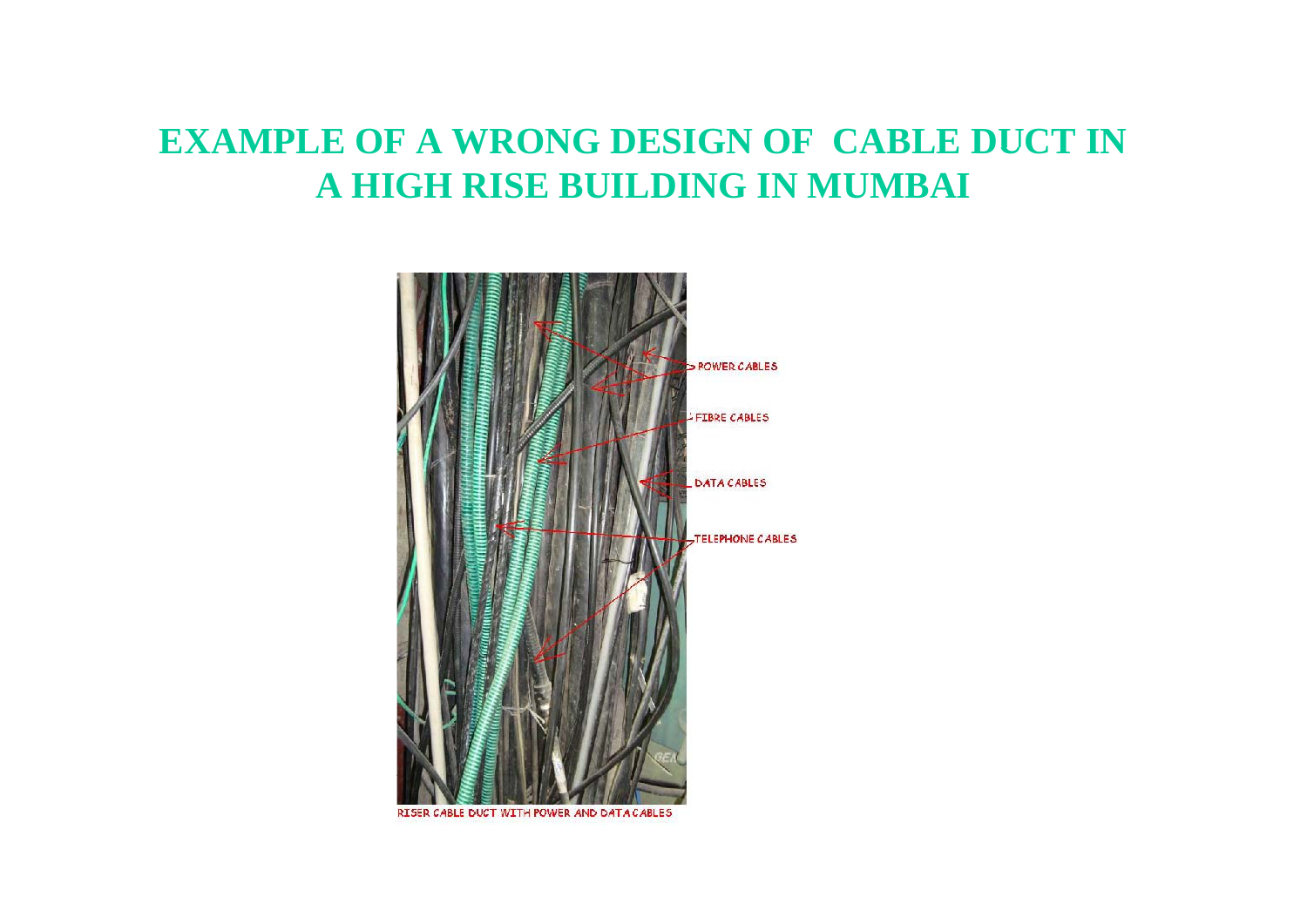#### **EXAMPLE OF A WRONG DESIGN OF CABLE DUCT IN A HIGH RISE BUILDING IN MUMBAI**

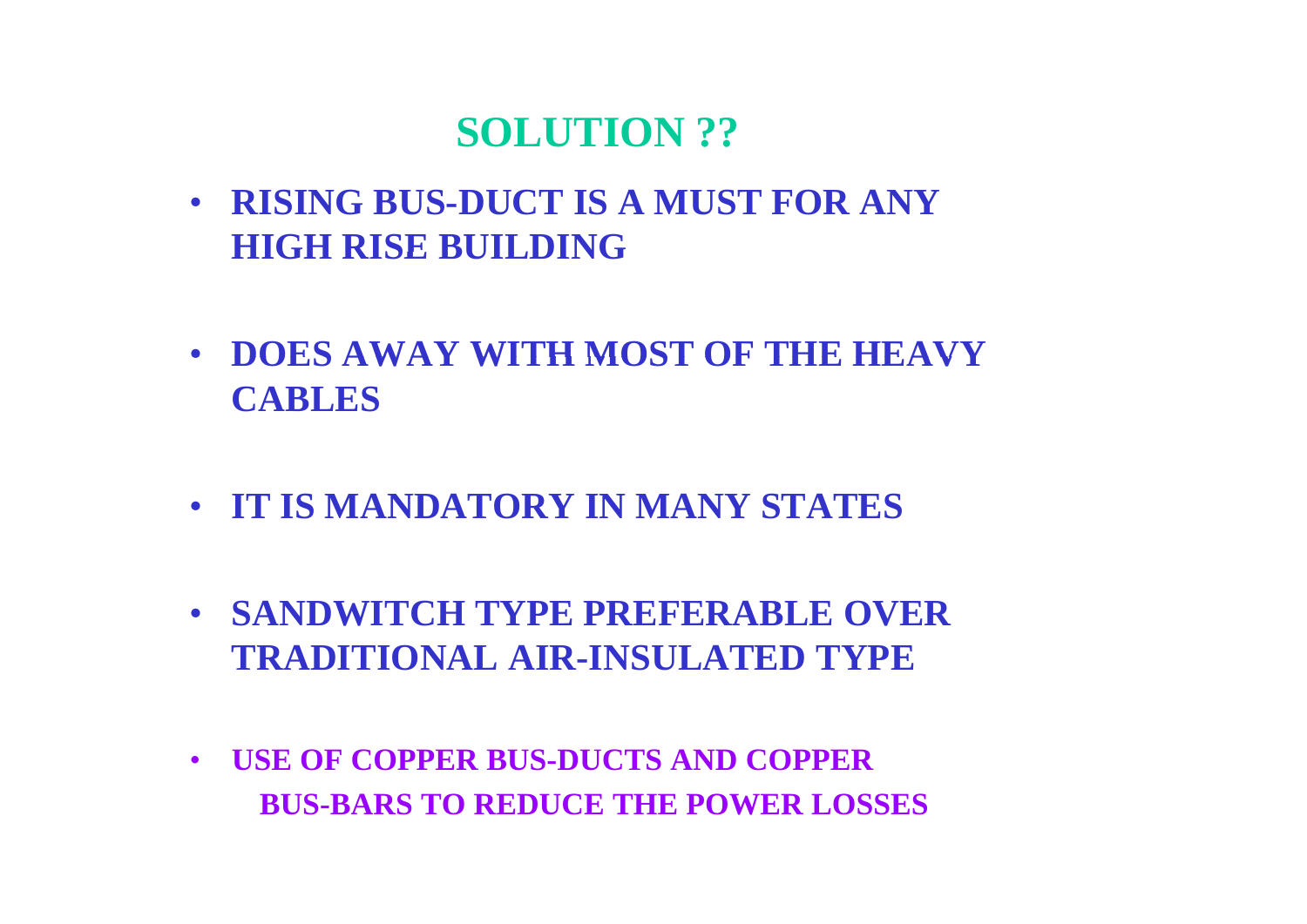### $\bf$ **SOLUTION** ??

- **RISING BUS-DUCT IS A MUST FOR ANY HIGH RISE BUILDING**
- **DOES AWAY WITH MOST OF THE HEAVY CABLES**
- **IT IS MANDATORY IN MANY STATES**
- **SANDWITCH TYPE PREFERABLE OVER TRADITIONAL AIR-INSULATED TYPE**
- **USE OF COPPER BUS-DUCTS AND COPPER BUS-BARS TO REDUCE THE POWER LOSSES**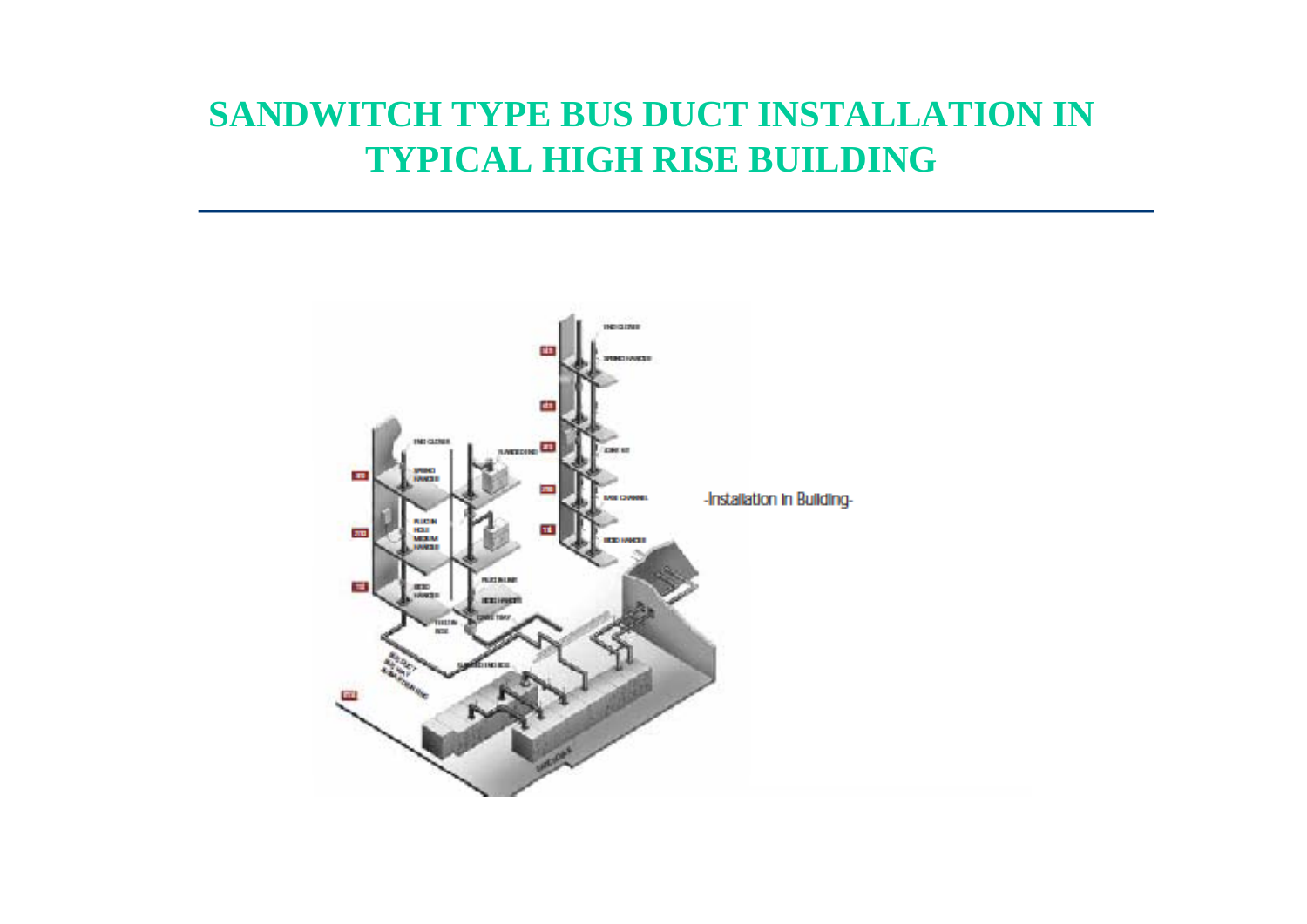### **SANDWITCH TYPE BUS DUCT INSTALLATION IN TYPICAL HIGH RISE BUILDING**

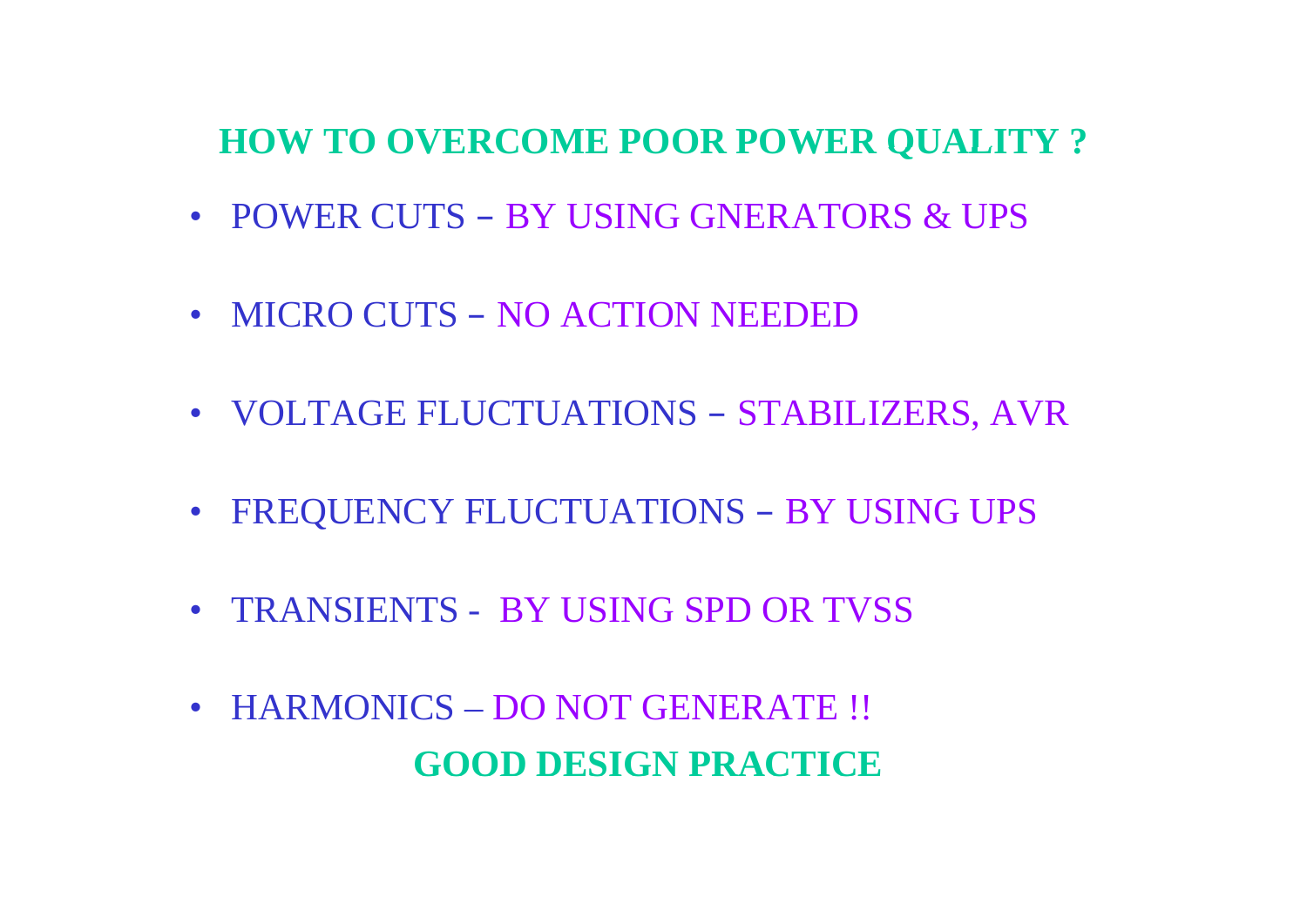#### **HOW TO OVERCOME POOR POWER QUALITY ?**

- POWER CUTS BY USING GNERATORS & UPS
- MICRO CUTS NO ACTION NEEDED
- VOLTAGE FLUCTUATIONS –STABILIZERS, AVR
- FREQUENCY FLUCTUATIONS – BY USING UPS
- TRANSIENTS BY USING SPD OR TVSS
- HARMONICS DO NOT GENERATE !! **GOOD DESIGN PRACTICE**\_ \_ \_ \_ \_ \_ \_ \_ \_ \_ \_ \_ \_ \_ \_ \_ \_ \_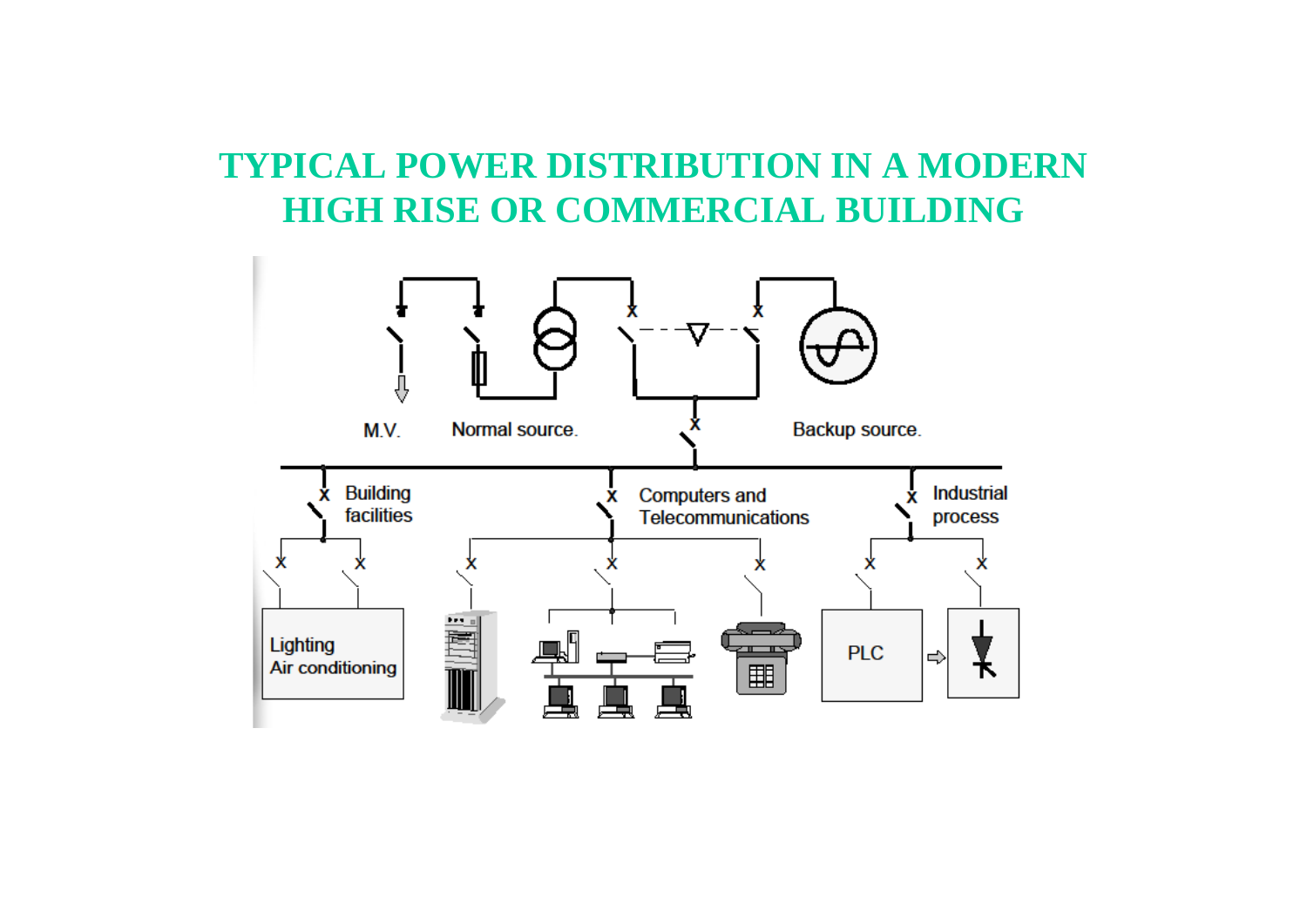### **TYPICAL POWER DISTRIBUTION IN A MODERN HIGH RISE OR COMMERCIAL BUILDING**

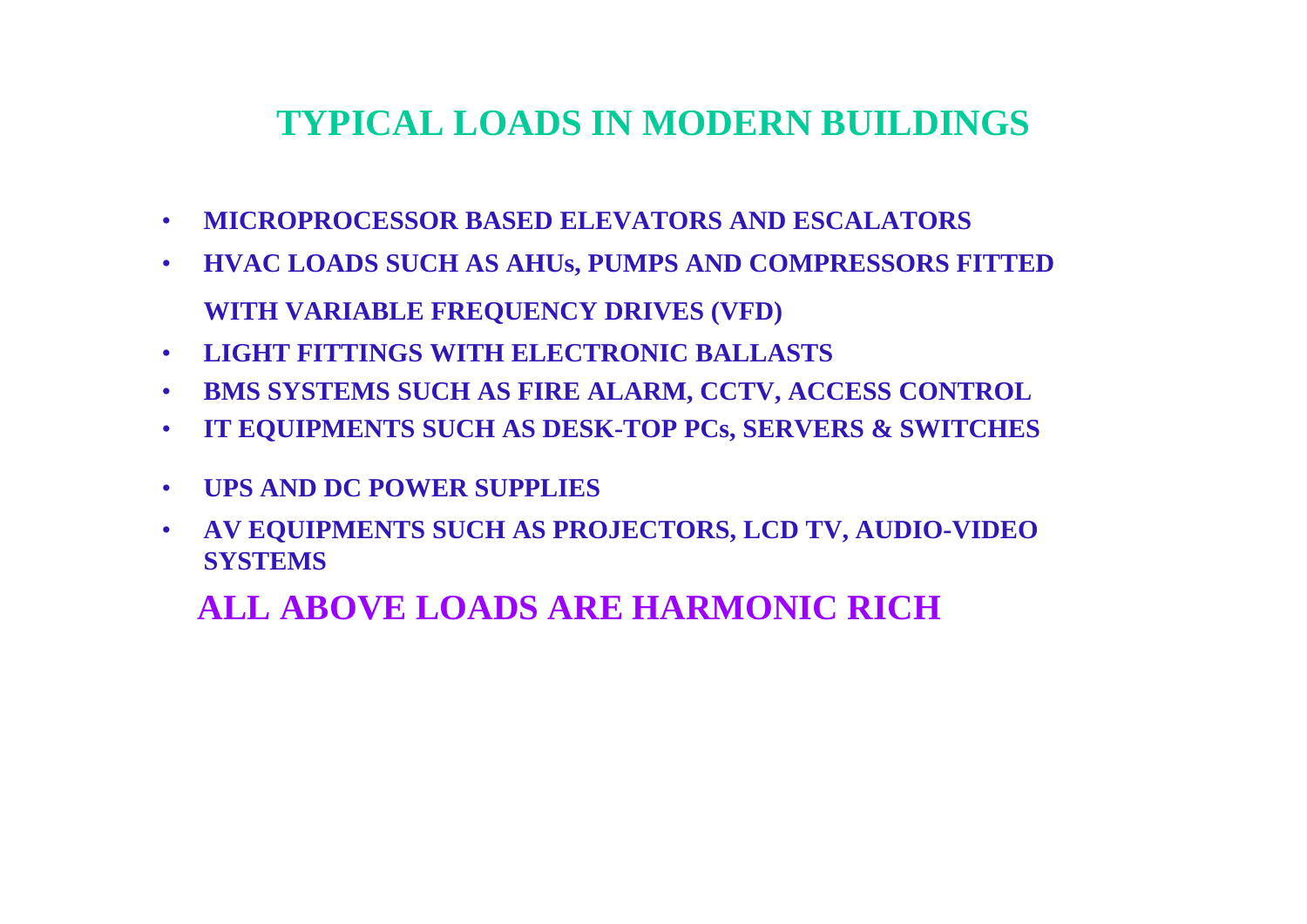#### **TYPICAL LOADS IN MODERN BUILDINGS**

- **MICROPROCESSOR BASED ELEVATORS AND ESCALATORS**
- **HVAC LOADS SUCH AS AHUs, PUMPS AND COMPRESSORS FITTED WITH VARIABLE FREQUENCY DRIVES (VFD)**
- **LIGHT FITTINGS WITH ELECTRONIC BALLASTS**
- **BMS SYSTEMS SUCH AS FIRE ALARM, CCTV, ACCESS CONTROL**
- •**IT EQUIPMENTS SUCH AS DESK-TOP PCs, SERVERS & SWITCHES**
- **UPS AND DC POWER SUPPLIES**
- $\bullet$  **AV EQUIPMENTS SUCH AS PROJECTORS, LCD TV, AUDIO-VIDEO SYSTEMS**

**ALL ABOVE LOADS ARE HARMONIC RICH**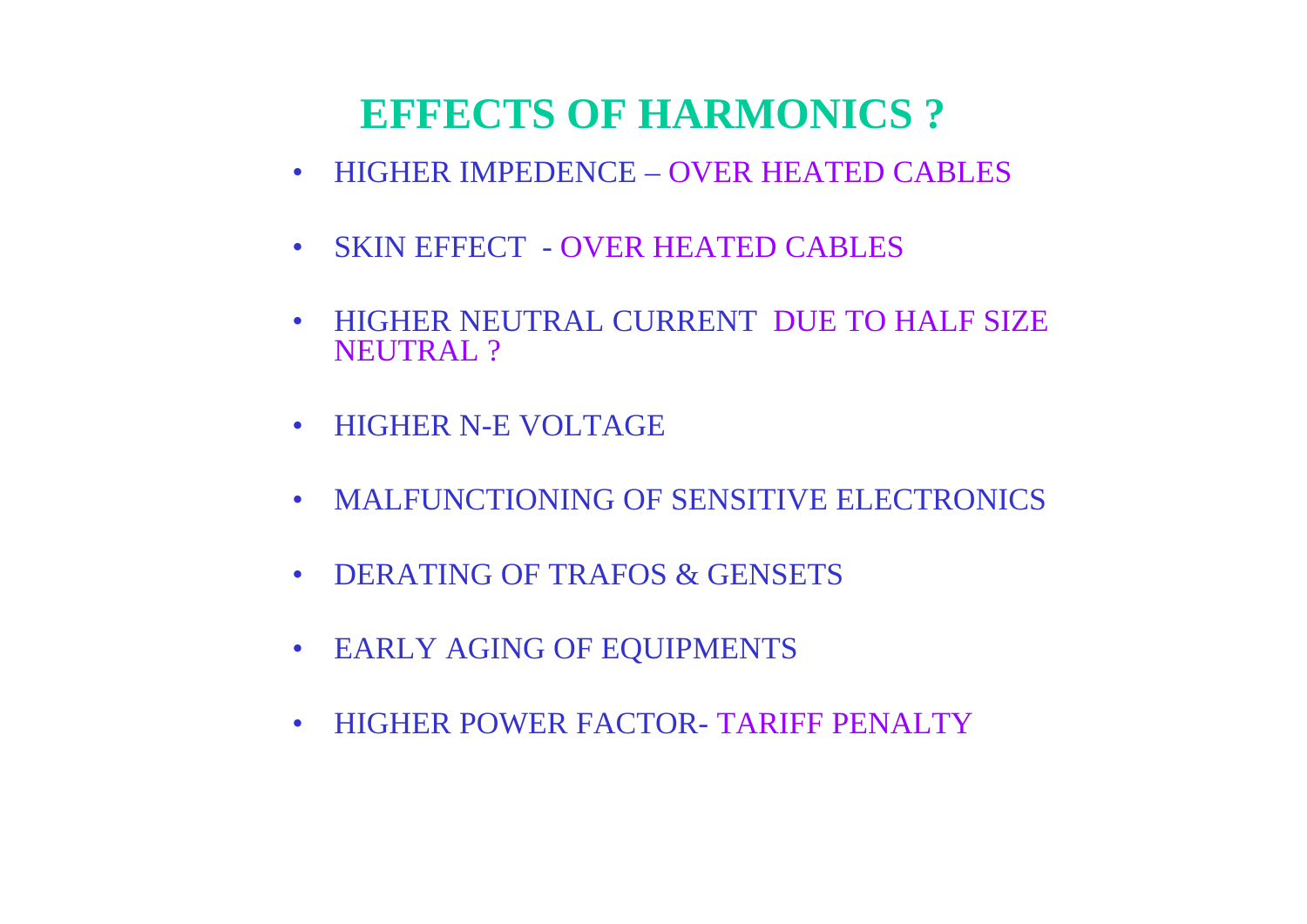## **EFFECTS OF HARMONICS ?**

- HIGHER IMPEDENCE OVER HEATED CABLES
- SKIN EFFECT - OVER HEATED CABLES
- HIGHER NEUTRAL CURRENT DUE TO HALF SIZE NEUTRAL ?
- HIGHER N-E VOLTAGE
- MALFUNCTIONING OF SENSITIVE ELECTRONICS
- DERATING OF TRAFOS & GENSETS \_\_\_\_\_\_\_\_\_\_\_\_\_\_
- EARLY AGING OF EQUIPMENTS
- HIGHER POWER FACTOR- TARIFF PENALTY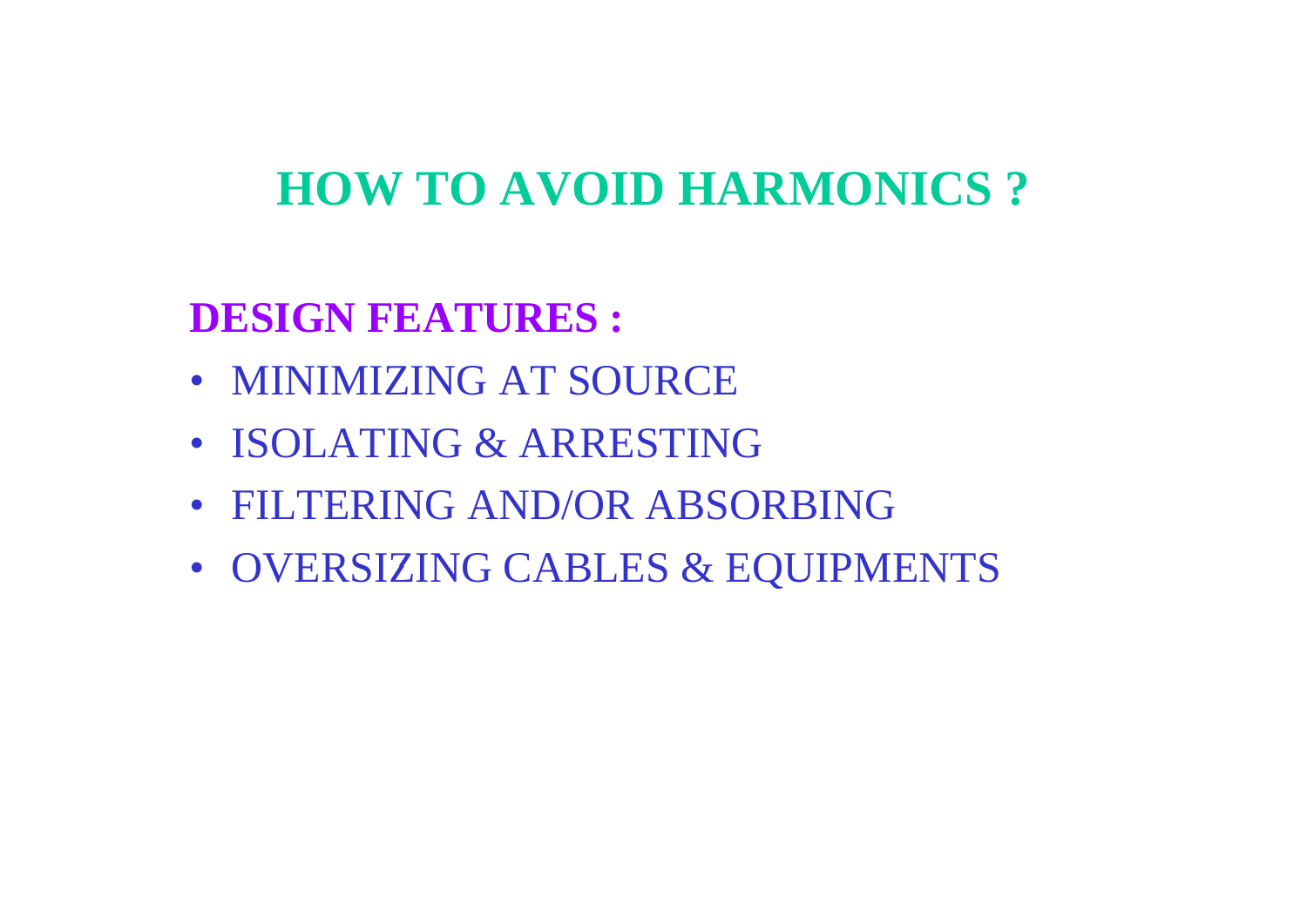# **HOW TO AVOID HARMONICS ?**

## **DESIGN FEATURES :**

- MINIMIZING AT SOURCE
- ISOLATING & ARRESTING
- FILTERING AND/OR ABSORBING
- OVERSIZING CABLES & EQUIPMENTS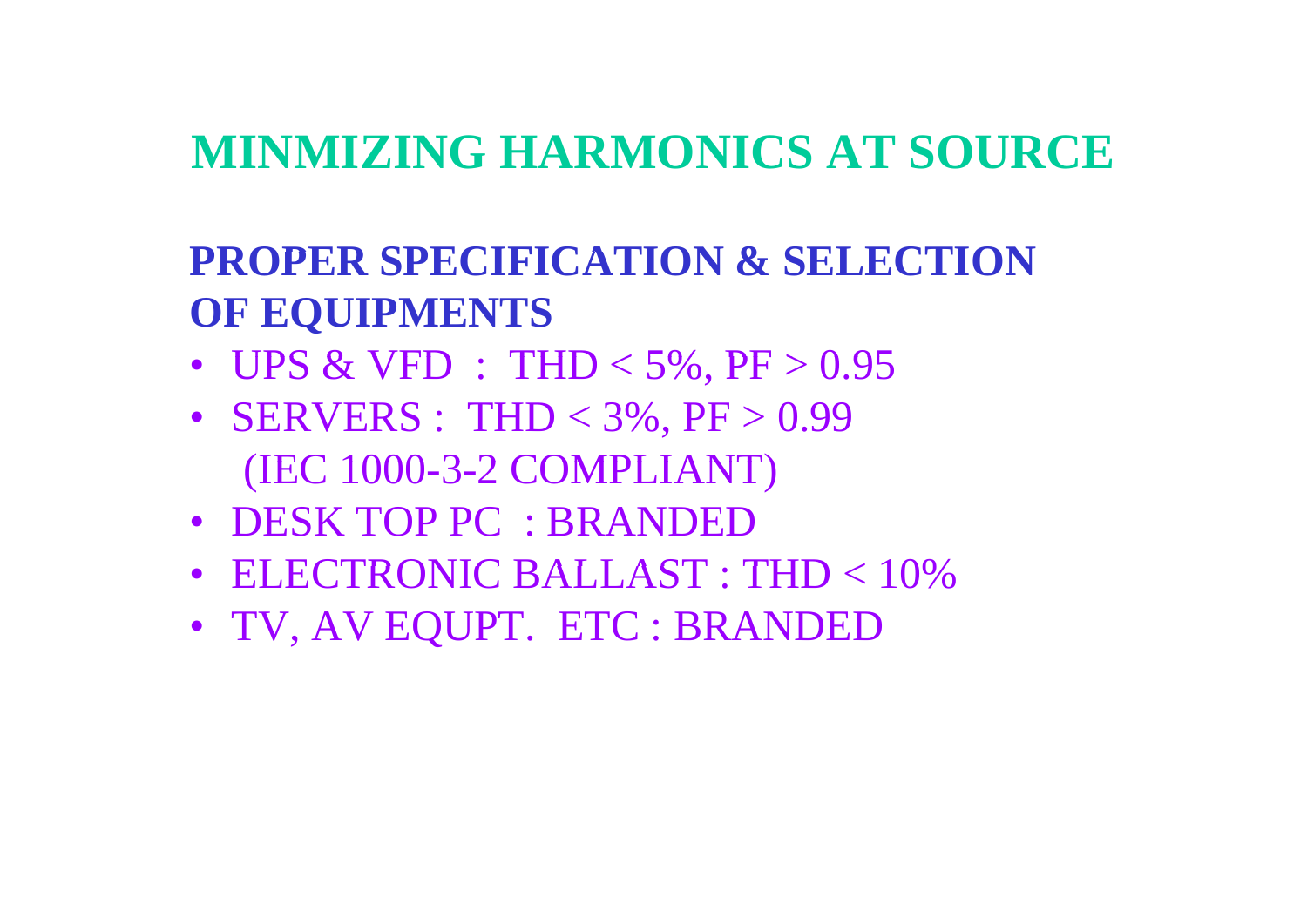# **MINMIZING HARMONICS AT SOURCE**

#### **PROPER SPECIFICATION & SELECTION OF EQUIPMENTS**

- UPS & VFD : THD  $<$  5%, PF  $>$  0.95
- **SERVERS**: THD < 3%, PF > 0.99 (IEC 1000 -3-2 COMPLIANT)
- DESK TOP PC : BRANDED
- ELECTRONIC BALLAST : THD < 10%
- TV, AV EQUPT. ETC : BRANDED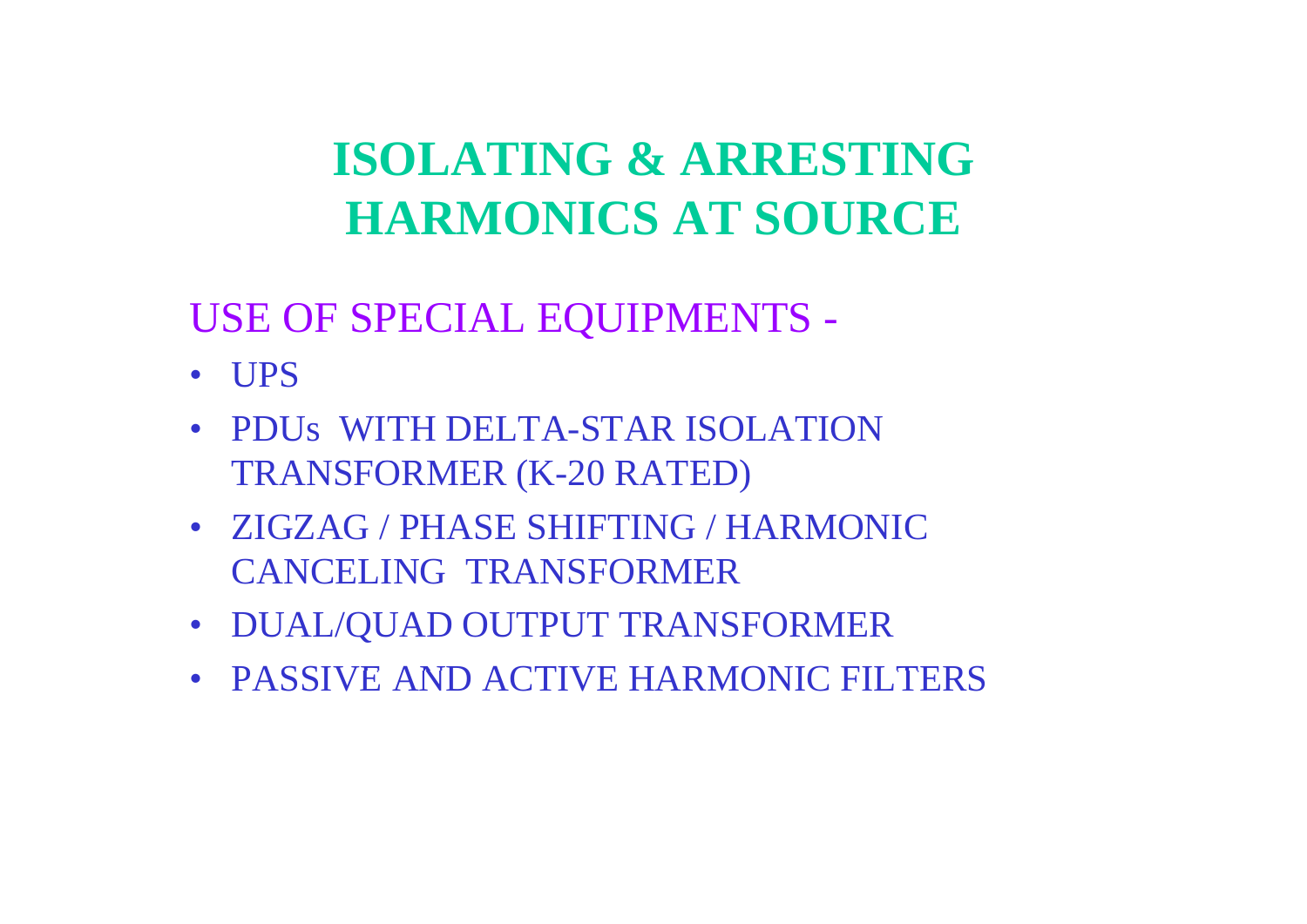# **ISOLATING & ARRESTINGHARMONICS AT SOURCE**

## USE OF SPECIAL EQUIPMENTS -

- UPS
- PDUs WITH DELTA-STAR ISOLATION TRANSFORMER (K-20 RATED)
- ZIGZAG / PHASE SHIFTING / HARMONIC CANCELING TRANSFORMER
- DUAL/QUAD OUTPUT TRANSFORMER
- PASSIVE AND ACTIVE HARMONIC FILTERS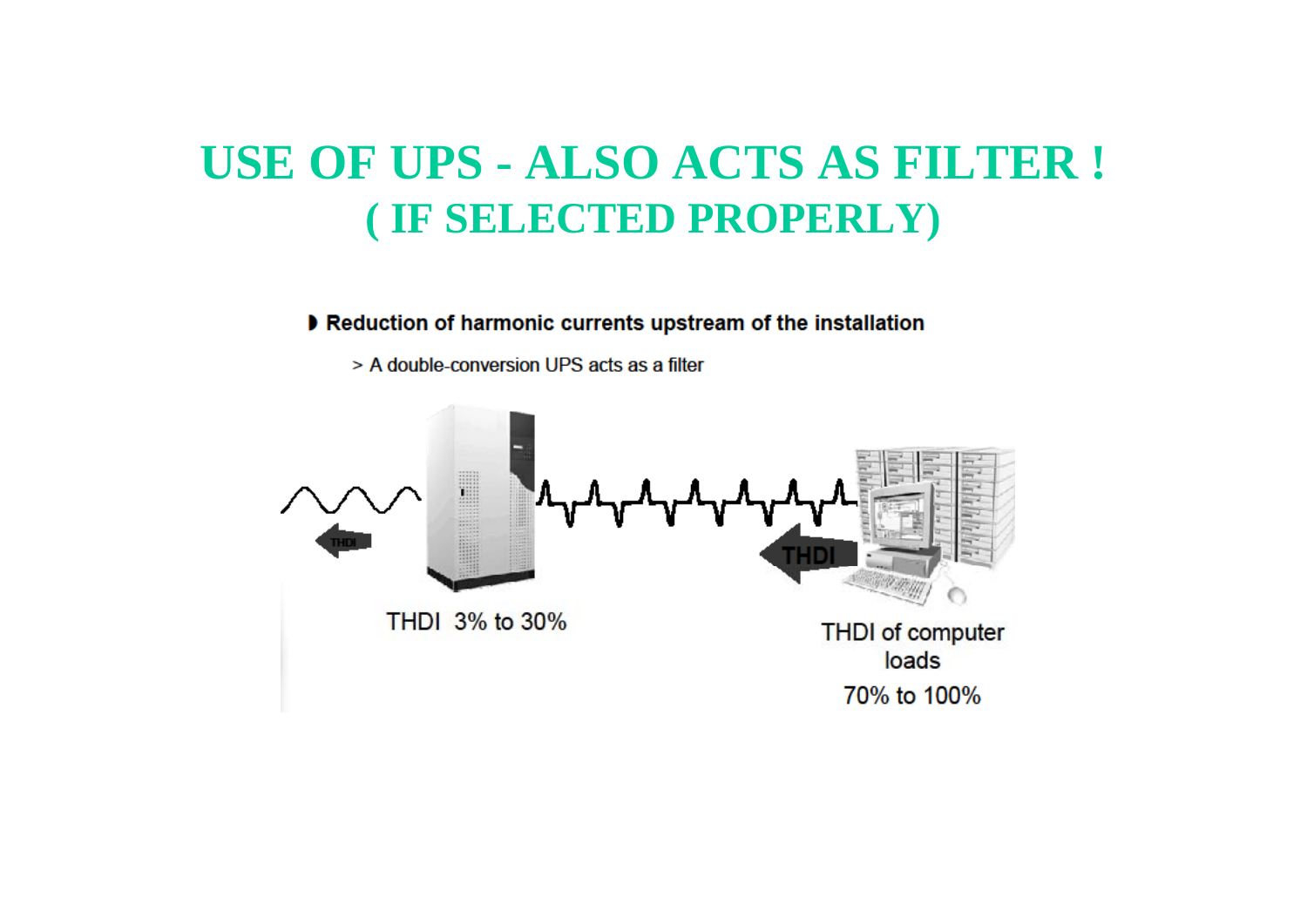## **USE OF UPS UPS - ALSO ACTS AS FILTER ! ( IF SELECTED PROPERLY)**

#### Reduction of harmonic currents upstream of the installation

> A double-conversion UPS acts as a filter

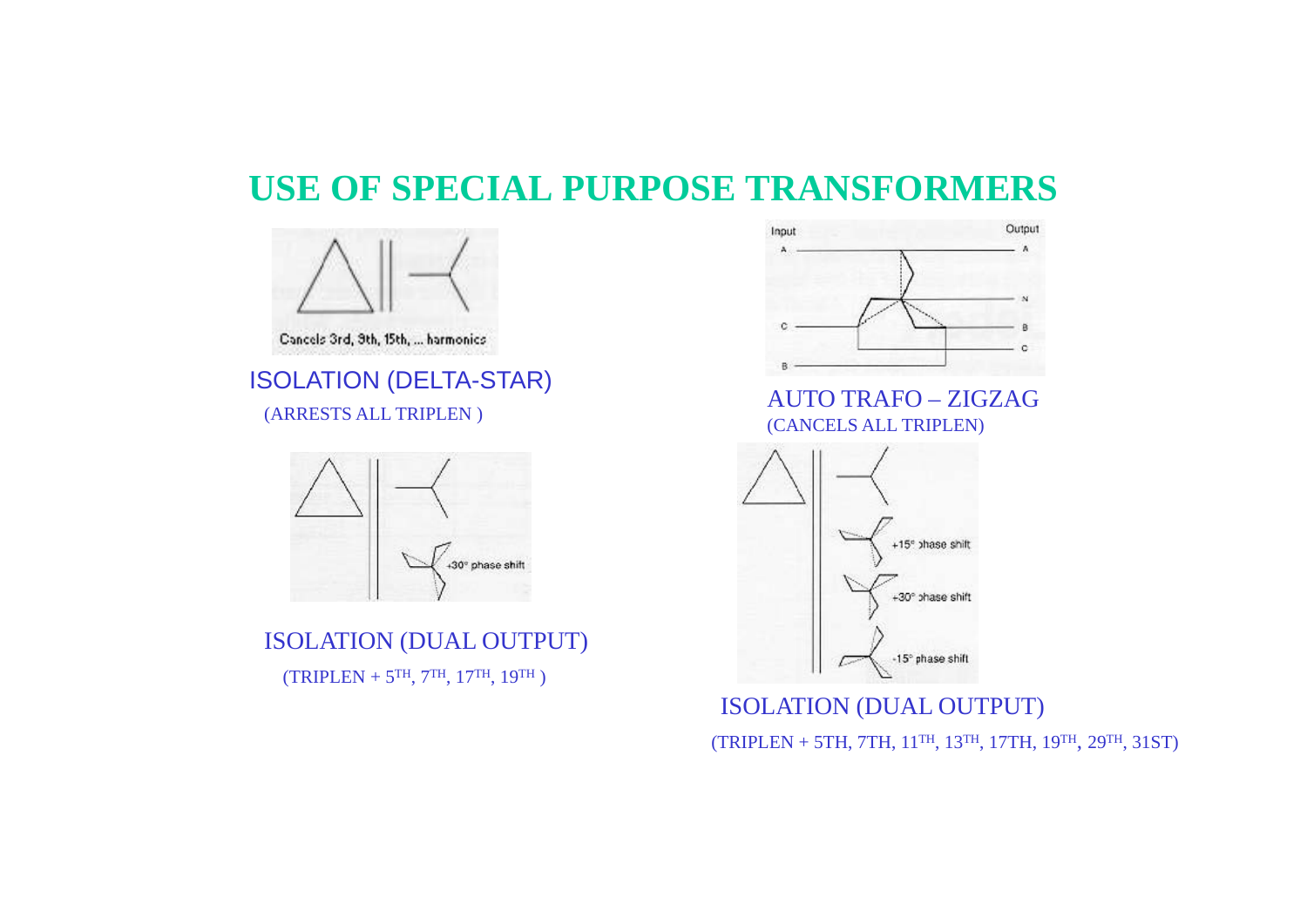#### ISOLATION (DUAL OUTPUT)  $(TRIPLEN + 5<sup>TH</sup>, 7<sup>TH</sup>, 17<sup>TH</sup>, 19<sup>TH</sup>)$



# ISOLATION (DELTA-STAR)<br>
(ARRESTS ALL TRIPLEN)<br>
(CANGEL CALL TRIPLEN)



#### ISOLATION (DUAL OUTPUT) (TRIPLEN + 5TH, 7TH, 11TH, 13TH, 17TH, 19TH, 29TH, 31ST)



(CANCELS ALL TRIPLEN)



### **USE OF SPECIAL PURPOSE TRANSFORMERS**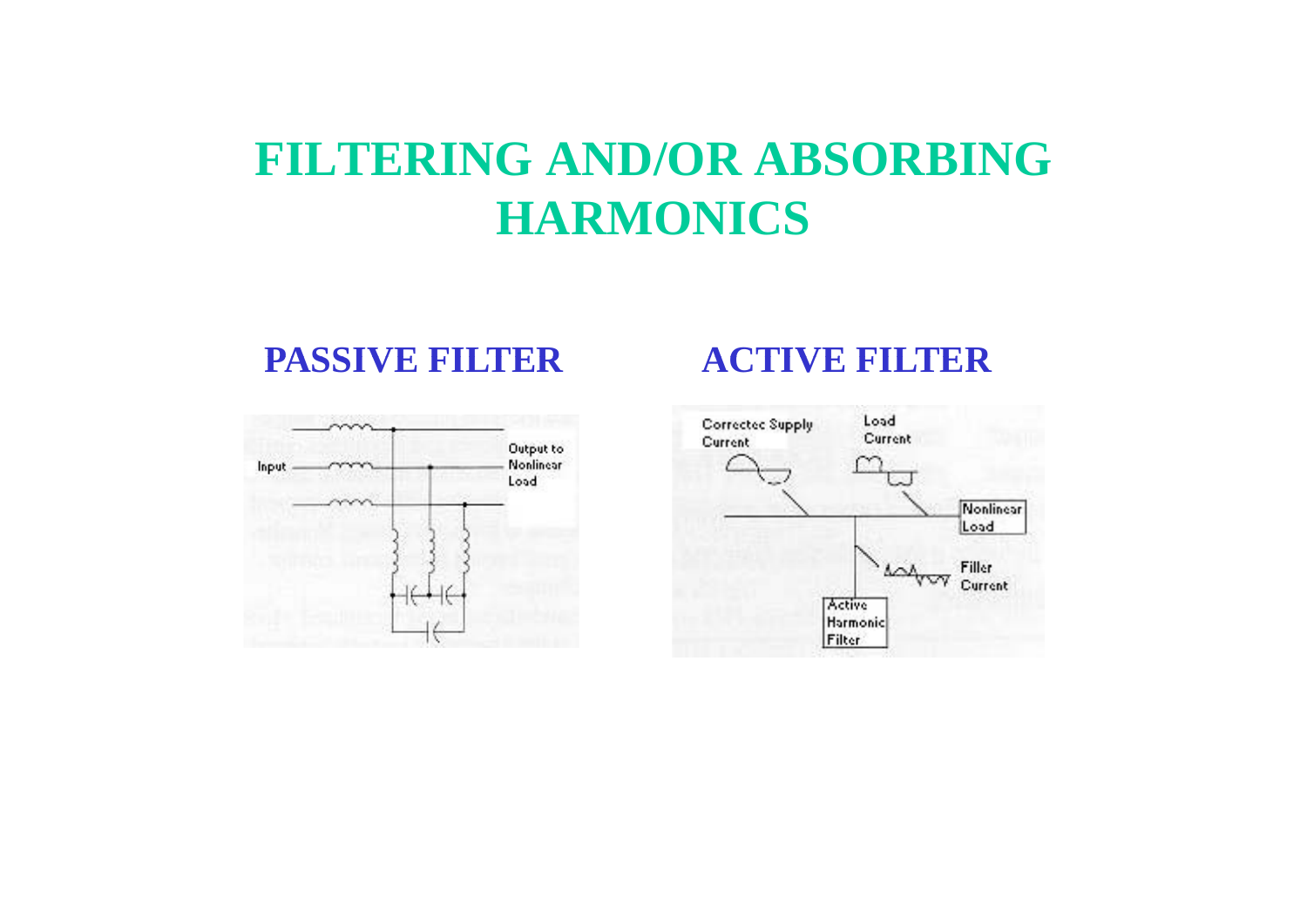## **FILTERING AND/OR ABSORBING HARMONICS**

#### **PASSIVE FILTER**



#### **ACTIVE FILTER**

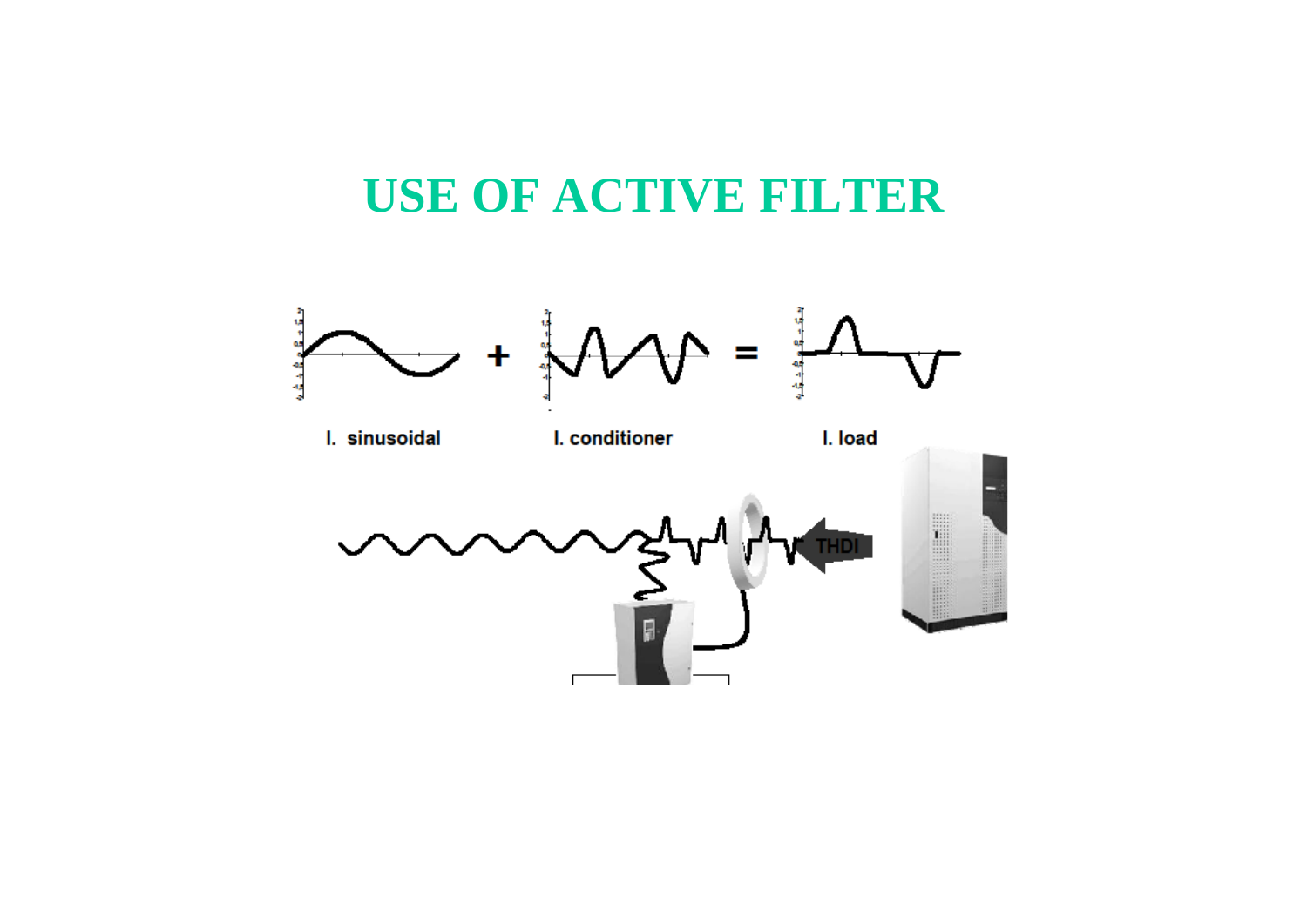## **USE OF ACTIVE FILTER**

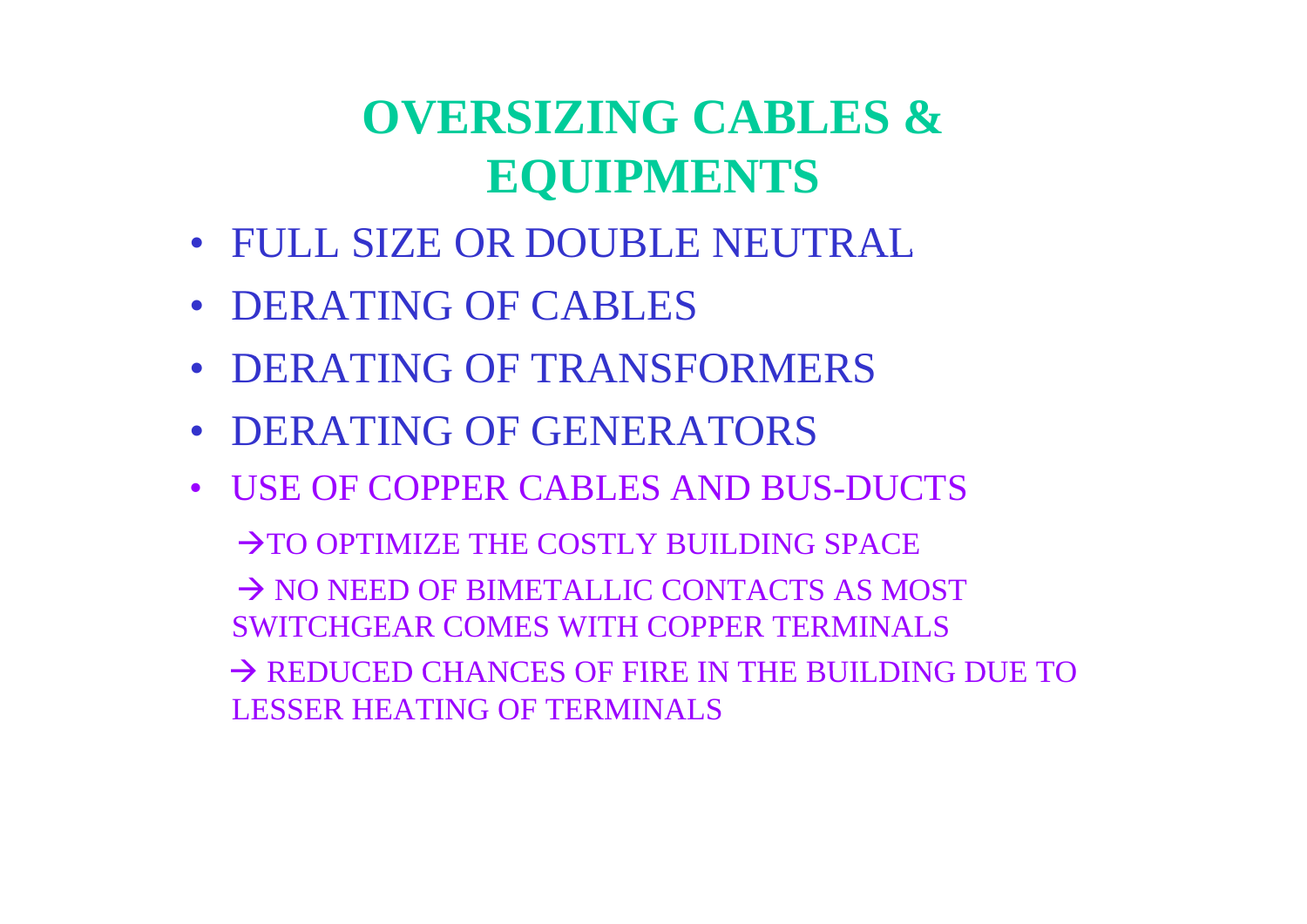# **OVERSIZING CABLES & EQUIPMENTS**

- FULL SIZE OR DOUBLE NEUTRAL
- DERATING OF CABLES
- DERATING OF TRANSFORMERS
- DERATING OF GENERATORS
- USE OF COPPER CABLES AND BUS-DUCTS

 $\rightarrow$  TO OPTIMIZE THE COSTLY BUILDING SPACE  $\rightarrow$  NO NEED OF BIMETALLIC CONTACTS AS MOST SWITCHGEAR COMES WITH COPPER TERMINALS  $\rightarrow$  REDUCED CHANCES OF FIRE IN THE BUILDING DUE TO LESSER HEATING OF TERMINALS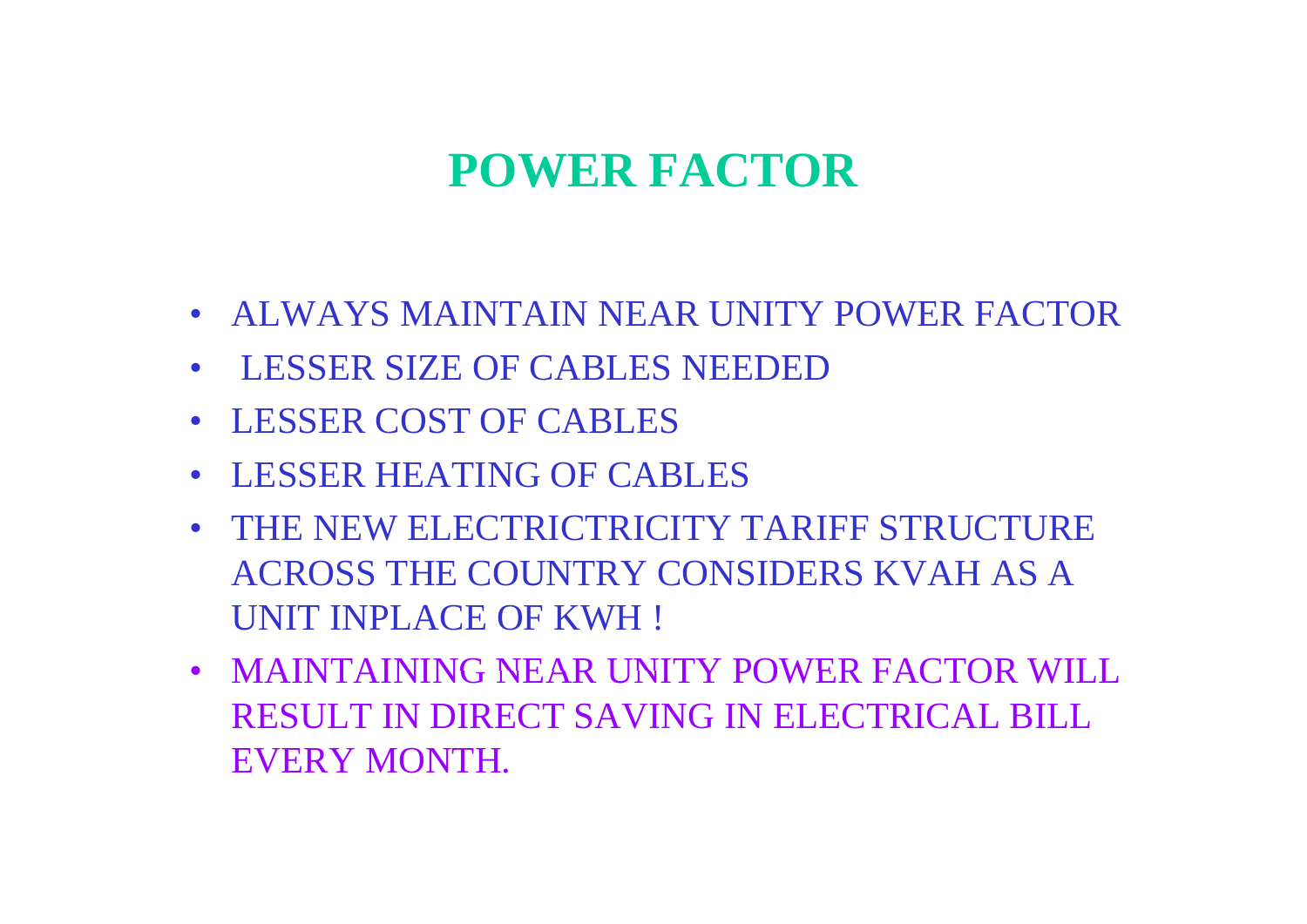## **POWER FACTOR**

- ALWAYS MAINTAIN NEAR UNITY POWER FACTOR
- LESSER SIZE OF CABLES NEEDED
- LESSER COST OF CABLES
- LESSER HEATING OF CABLES
- THE NEW ELECTRICTRICITY TARIFF STRUCTURE ACROSS THE COUNTRY CONSIDERS KVAH AS A AS A UNIT INPLACE OF KWH !
- MAINTAINING NEAR UNITY POWER FACTOR WILL RESULT IN DIRECT SAVING IN ELECTRICAL BILL EVERY MONTH.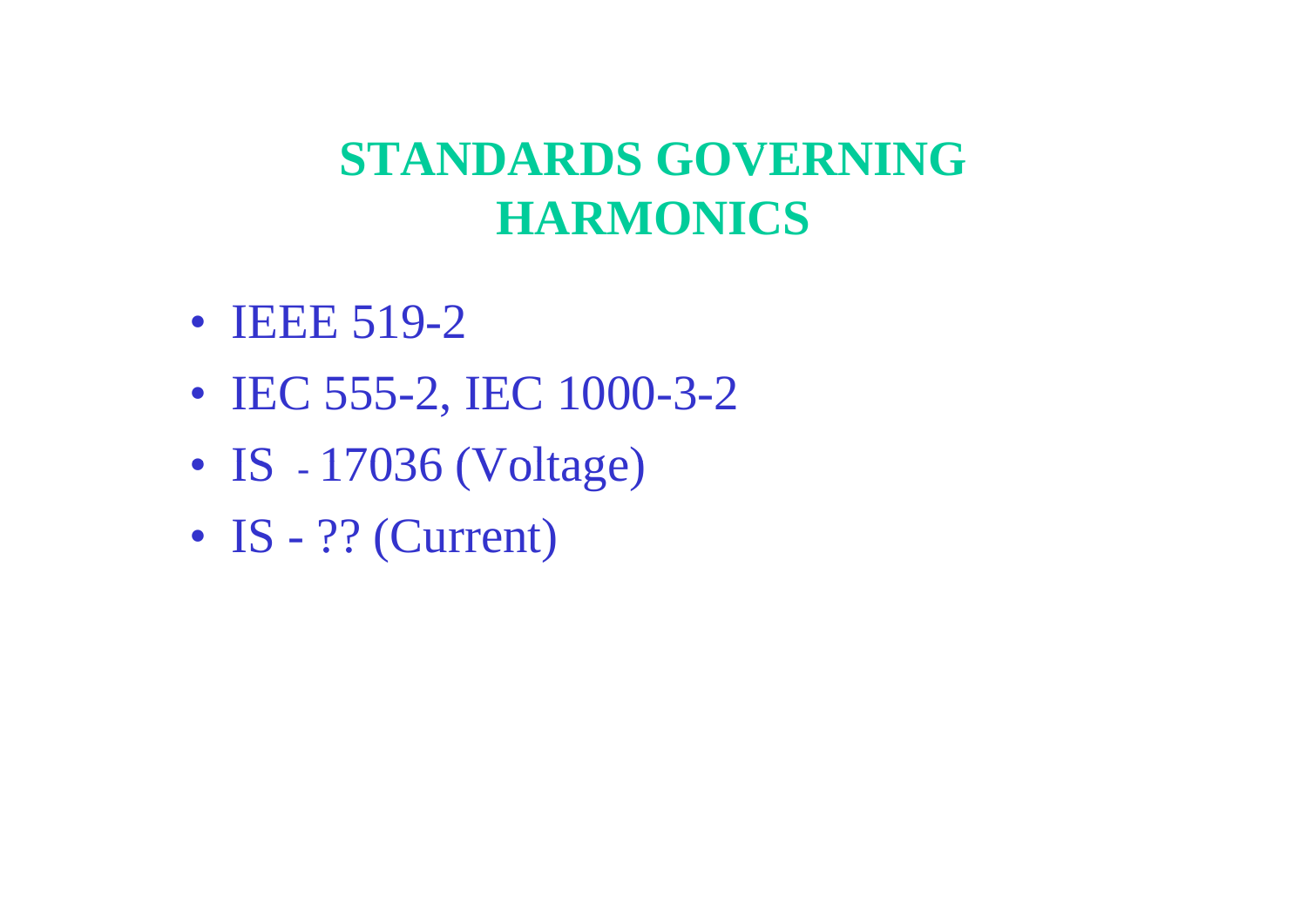# **STANDARDS GOVERNING GOVERNING HARMONICS**

- **IEEE 519-2**
- IEC 555-2, IEC 1000-3-2
- $\bullet$  IS  $-$ 17036 (Voltage)
- IS ?? (Current)